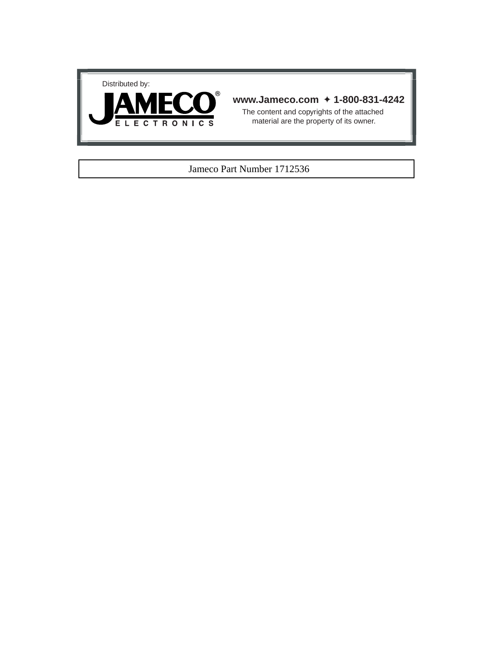



# **www.Jameco.com** ✦ **1-800-831-4242**

The content and copyrights of the attached material are the property of its owner.

# Jameco Part Number 1712536